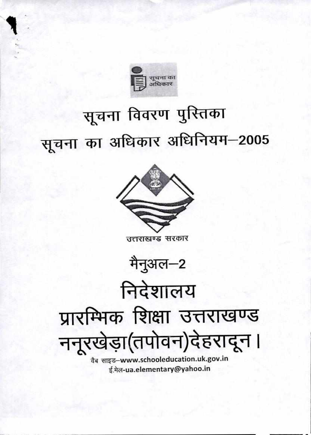

ई.मेल-ua.elementary@yahoo.in

उत्तराखण्ड सरकार



# सूचना विवरण पुरितका सूचना का अधिकार अधिनियम-2005

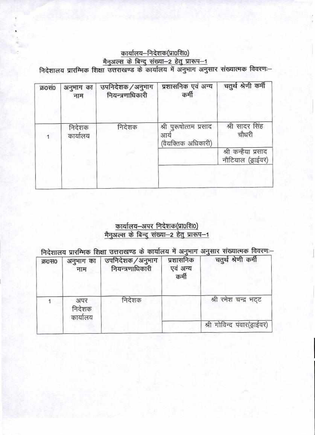## कार्यालय-निदेशक(प्रा०शि०) मैनुअल्स के बिन्दु संख्या-2 हेतु प्रारूप-1<br>- निदेशालय प्रारम्भिक शिक्षा उत्तराखण्ड के कार्यालय में अनुमाग अनुसार संख्यात्मक विवरण

| क्र0सं0 | अनुभाग का<br>नाम   | उपनिदेशक / अनुभाग<br>नियन्त्रणाधिकारी | प्रशासनिक एवं अन्य<br>कर्मी                        | चतुर्थ श्रेणी कर्मी                      |
|---------|--------------------|---------------------------------------|----------------------------------------------------|------------------------------------------|
|         | निदेशक<br>कार्यालय | निदेशक                                | श्री पुरुषोत्तम प्रसाद<br>आय<br>(वैयक्तिक अधिकारी) | श्री सादर सिंह<br>चौधरी                  |
|         |                    |                                       |                                                    | श्री कन्हैया प्रसाद<br>नौटियाल (ड्राईवर) |
|         |                    |                                       |                                                    |                                          |

## <u>कार्यालय–अपर निदेशक(प्रा0शि0)</u><br><u>मैनुअल्स के बिन्दु संख्या–2 हेतु प्रारूप–1</u>

निदेशालय प्रारम्भिक शिक्षा उत्तराखण्ड के कार्यालय में अनुभाग अनुसार संख्यात्मक विवरणः-

| क्र0स0 | अनुभाग का<br>नाम          | उपनिदेशक / अनुमाग<br>नियन्त्रणाधिकारी | प्रशासनिक<br>एवं अन्य<br>कर्मी | चतुर्थ श्रेणी कर्मी         |
|--------|---------------------------|---------------------------------------|--------------------------------|-----------------------------|
|        | अपर<br>निदेशक<br>कार्यालय | निदेशक                                |                                | श्री रमेश चन्द्र भट्ट       |
|        |                           |                                       |                                | श्री गोविन्द पंवार(ड्राईवर) |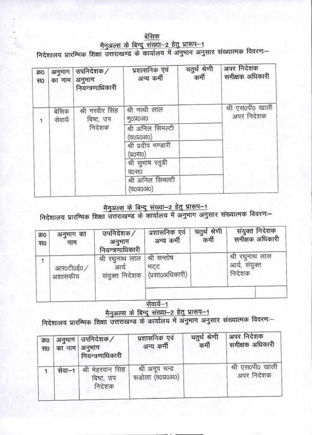## बेसिक मैनुअल्स के बिन्दु संख्या-2 हेतु प्रारूप-1<br>निदेशालय प्रारम्भिक शिक्षा उत्तराखण्ड के कार्यालय में अनुभाग अनुसार संख्यात्मक विवरणः-

| क्र0<br>स0 | अनुभाग<br>का नाम | उपनिदेशक /<br>अनुभाग<br>नियन्त्रणाधिकारी | प्रशासनिक एवं<br>अन्य कर्मी      | चतुर्थ श्रेणी<br>कर्मी | अपर निदेशक<br>समीक्षक अधिकारी  |
|------------|------------------|------------------------------------------|----------------------------------|------------------------|--------------------------------|
|            | बेसिक<br>सेवायें | श्री नरवीर सिंह<br>बिष्ट, उप             | श्री नत्थी लाल<br><b>HONO310</b> |                        | श्री एस0पी0 खाली<br>अपर निदेशक |
|            |                  | निदेशक                                   | श्री अनिल सिमल्टी<br>(व0प्र0अ0)  |                        |                                |
|            |                  |                                          | श्री प्रदीप भण्डारी<br>(UHOK)    |                        |                                |
|            |                  |                                          | श्री सुभाष रतूडी<br>व0स0         |                        |                                |
|            |                  |                                          | श्री अनिल सिमल्टी<br>(व0प्र0अ0)  |                        |                                |

# <u>मैनुअल्स के बिन्दु संख्या-2 हेतु प्रारूप-1</u><br>निदेशालय प्रारम्भिक शिक्षा उत्तराखण्ड के कार्यालय में अनुभाग अनुसार संख्यात्मक विवरणः-

| क्र0<br>स० | अनुभाग का<br>नाम     | उपनिदेशक /<br>अनुभाग<br>नियन्त्रणाधिकारी               | प्रशासनिक एवं<br>अन्य कर्मी | चतुर्थ श्रेणी<br>कर्मी | संयुक्त निदेशक<br>समीक्षक अधिकारी          |
|------------|----------------------|--------------------------------------------------------|-----------------------------|------------------------|--------------------------------------------|
|            | आर0टी0ई0/<br>अशासकीय | श्री रघुनाथ लाल   श्री सन्तोष<br>आये<br>संयुक्त निदेशक | भटट<br>(प्रशा0अधिकारी)      |                        | श्री रघुनाथ लाल<br>आर्य, संयुक्त<br>निदेशक |
|            |                      |                                                        | $\lambda$                   |                        |                                            |

### सेवार्ये—1

# <u>मैनुअल्स के बिन्दु संख्या-2 हेतु प्रारूप-1</u><br>निदेशालय प्रारम्भिक शिक्षा उत्तराखण्ड के कार्यालय में अनुमाग अनुसार संख्यात्मक विवरणः-

| क्र0       | का नाम   अनुभाग | अनुभाग   उपनिदेशक /                      | प्रशासनिक एवं                         | चतुर्थ श्रेणी | अपर निदेशक                     |
|------------|-----------------|------------------------------------------|---------------------------------------|---------------|--------------------------------|
| <b>THD</b> |                 | नियन्त्रणाधिकारी                         | अन्य कर्मी                            | कर्मी         | समीक्षक अधिकारी                |
|            | सेवा–1          | श्री मेहरवान सिंह<br>बिष्ट, उप<br>निदेशक | श्री अनूप चन्द्र<br>रूडोला (व0प्र0अ0) |               | श्री एस0पी0 खाली<br>अपर निदेशक |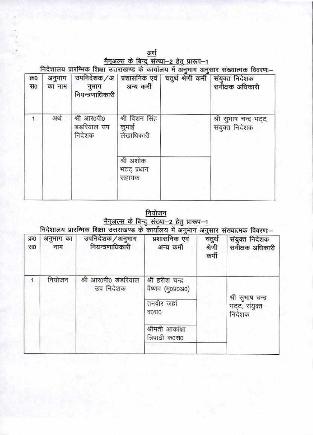| अर्थ                                                                                |
|-------------------------------------------------------------------------------------|
| मैनुअल्स के बिन्दु संख्या—2 हेतु प्रारूप—1                                          |
| निदेशालय पारम्भिक शिक्षा सत्तराखण्ड के कार्यालय में अनुभाग अनुसार संख्यात्मक विवरण: |

| क्र0<br>स० | अनुभाग<br>का नाम | नुभाग<br>नियन्त्रणाधिकारी            | अन्य कर्मी                            | उपनिदेशक /अ   प्रशासनिक एवं   चतुर्थ श्रेणी कर्मी   संयुक्त निदेशक | समीक्षक अधिकारी                           |
|------------|------------------|--------------------------------------|---------------------------------------|--------------------------------------------------------------------|-------------------------------------------|
|            | अर्थ             | श्री आर0पी0<br>डंडरियाल उप<br>निदेशक | श्री विशन सिंह<br>कुमाई<br>लेखाधिकारी |                                                                    | श्री सुभाष चन्द्र भट्ट,<br>संयुक्त निदेशक |
|            |                  |                                      | श्री अशोक<br>भटट प्रधान<br>सहायक      |                                                                    |                                           |

<u>नियोजन</u><br>मैनुअल्स के बिन्दु संख्या—2 हेतु प्रारूप—1</u>

| क्र0<br>OFF | अनुभाग का<br>नाम | निदशालय प्राराम्मक शिक्षा उत्तराखण्ड के कार्यालय में अनुमाग अनुसार संख्यात्मक विवरणः—<br>उपनिदेशक/अनुभाग<br>नियन्त्रणाधिकारी | प्रशासनिक एवं<br>अन्य कर्मी                                                                       | चतुर्थ<br>श्रेणी<br>कर्मी | संयुक्त निदेशक<br>समीक्षक अधिकारी            |
|-------------|------------------|------------------------------------------------------------------------------------------------------------------------------|---------------------------------------------------------------------------------------------------|---------------------------|----------------------------------------------|
|             | नियोजन           | श्री आर0पी0 डंडरियाल<br>उप निदेशक                                                                                            | श्री हरीश चन्द्र<br>वैष्णव (मु०प्र०अ०)<br>तनवीर जहां<br>व0स0<br>श्रीमती आकांक्षा<br>त्रिपाठी क0स0 |                           | श्री सुभाष चन्द्र<br>भट्ट, संयुक्त<br>निदेशक |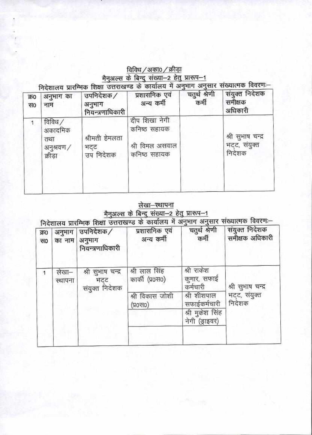### विविध / अका0 / क्रीड़ा <u>मैनुअल्स के बिन्दु संख्या-2 हेतु प्रारूप-1</u><br>- उच्चण्डाय के कार्यालय में अनुभाग अनुसार संख्यात्मक विवरणः-

| क्र0<br>स० | अनुभाग का<br>नाम                                  | उपनिदेशक /<br>अनुभाग<br>नियन्त्रणाधिकारी | निदशीलय प्राराम्मक शिक्षा उत्तराखण्ड के कार्यालय ने जनुनाने अनुसार संख्यातक स्वर्गमें<br>प्रशासनिक एवं<br>अन्य कर्मी | चतुर्थ श्रेणी<br>कर्मी | संयुक्त निदेशक<br>समीक्षक<br>अधिकारी         |
|------------|---------------------------------------------------|------------------------------------------|----------------------------------------------------------------------------------------------------------------------|------------------------|----------------------------------------------|
| 1          | विविध /<br>अकादमिक<br>तथा<br>अनुश्रवण/<br>क्रीड़ा | श्रीमती हेमलता<br>भट्ट<br>उप निदेशक      | दीप शिखा नेगी<br>कनिष्ठ सहायक<br>श्री विमल असवाल<br>कनिष्ठ सहायक                                                     |                        | श्री सुभाष चन्द्र<br>भट्ट, संयुक्त<br>निदेशक |

# <u>लेखा-स्थापना</u><br>- मैनुअल्स के बिन्दु संख्या—2 हेतु प्रारूप—1<br>- निदेशालय प्रारम्भिक शिक्षा उत्तराखण्ड के कार्यालय में अनुभाग अनुसार संख्यात्मक विवरण:

| क्र0<br><b>HO</b> | अनुभाग<br>का नाम | उपनिदेशक/<br>अनुभाग<br>नियन्त्रणाधिकारी    | प्रशासनिक एवं<br>अन्य कर्मी      | चतुर्थ श्रेणी<br>कर्मी                | संयुक्त निदेशक<br>समीक्षक अधिकारी |
|-------------------|------------------|--------------------------------------------|----------------------------------|---------------------------------------|-----------------------------------|
|                   | लेखा—<br>स्थापना | श्री सुभाष चन्द्र<br>भटट<br>संयुक्त निदेशक | श्री लाल सिंह<br>कार्की (प्र0स0) | श्री राकेश<br>कुमार, सफाई<br>कर्मचारी | श्री सुभाष चन्द्र                 |
|                   |                  |                                            | श्री विकास जोशी<br>(प्र०स०)      | श्री शीशपाल<br>सफाईकर्मचारी           | भट्ट, संयुक्त<br>निदेशक           |
|                   |                  |                                            |                                  | श्री मुकेश सिंह<br>नेगी (ड्राइवर)     |                                   |
|                   |                  |                                            |                                  |                                       |                                   |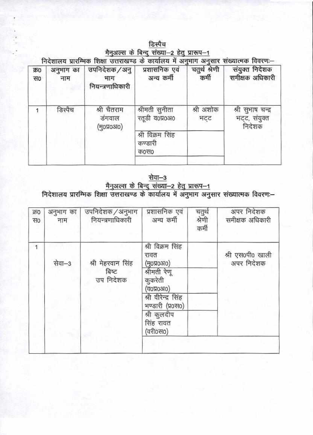| डिस्पैच |  |  |                                           |  |  |
|---------|--|--|-------------------------------------------|--|--|
|         |  |  | मैनअल्स के बिन्दु संख्या-2 हेतु प्रारूप-1 |  |  |

निदेशालय प्रारम्भिक शिक्षा उत्तराखण्ड के कार्यालय में अनुभाग अनुसार संख्यात्मक विवरणः-

| क्र0<br><b>RFO</b> | अनुभाग का<br>नाम | उपनिदेशक / अनु<br>भाग<br>नियन्त्रणाधिकारी | प्रशासनिक एवं<br>अन्य कर्मी         | चतुर्थ श्रेणी<br>कर्मी | संयुक्त निदेशक<br>समीक्षक अधिकारी            |
|--------------------|------------------|-------------------------------------------|-------------------------------------|------------------------|----------------------------------------------|
|                    | डिस्पैच          | श्री चैतराम<br>डंगवाल<br>(нояозю)         | श्रीमती सुनीता<br>रतूडी व0प्र0अ0    | श्री अशोक<br>ਮਟਟ       | श्री सुभाष चन्द्र<br>भट्ट, संयुक्त<br>निदेशक |
|                    |                  |                                           | श्री विक्रम सिंह<br>कण्डारी<br>क0स0 |                        |                                              |

<u>सेवा-3</u><br>निदेशालय प्रारम्भिक शिक्षा उत्तराखण्ड के कार्यालय में अनुभाग अनुसार संख्यात्मक विवरणः—<br>निदेशालय प्रारम्भिक शिक्षा उत्तराखण्ड के कार्यालय में अनुभाग अनुसार संख्यात्मक विवरणः—

| उपनिदेशक /अनुभाग<br>नियन्त्रणाधिकारी    | प्रशासनिक एवं<br>अन्य कर्मी                                                                                                                                       | चतुर्थ<br>श्रेणी<br>कर्मी | अपर निदेशक<br>समीक्षक अधिकारी  |
|-----------------------------------------|-------------------------------------------------------------------------------------------------------------------------------------------------------------------|---------------------------|--------------------------------|
| श्री मेहरवान सिंह<br>बिष्ट<br>उप निदेशक | श्री विक्रम सिंह<br>रावत<br>(मु०प्र०अ०)<br>श्रीमती रेणू<br>कुकरेती<br>(аодозю)<br>श्री वीरेन्द्र सिंह<br>भण्डारी (प्र0स0)<br>श्री कुलदीप<br>सिंह रावत<br>(वरी0स0) |                           | श्री एस0पी0 खाली<br>अपर निदेशक |
|                                         |                                                                                                                                                                   |                           |                                |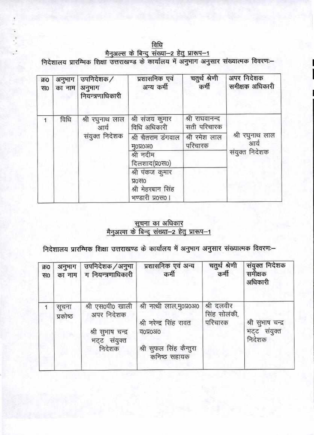विधि

मेनुअल्स के बिन्दु संख्या-2 हेतु प्रारूप-1<br>निदेशालय प्रारम्भिक शिक्षा उत्तराखण्ड के कार्यालय में अनुभाग अनुसार संख्यात्मक विवरणः-

| क्र0<br><b>TF</b> | अनुभाग<br>का नाम | उपनिदेशक /<br>अनुभाग<br>नियन्त्रणाधिकारी | प्रशासनिक एवं<br>अन्य कर्मी                                       | चतुर्थ श्रेणी<br>कर्मी        | अपर निदेशक<br>समीक्षक अधिकारी |
|-------------------|------------------|------------------------------------------|-------------------------------------------------------------------|-------------------------------|-------------------------------|
|                   | विधि             | श्री रघुनाथ लाल<br>आर्य                  | श्री संजय कुमार<br>विधि अधिकारी                                   | श्री राघवानन्द<br>सती परिचारक |                               |
|                   | संयुक्त निदेशक   | श्री चैतराम डंगवाल<br>मоप्र0310          | श्री रमेश लाल<br>परिचारक                                          | श्री रघुनाथ लाल<br>आर्य       |                               |
|                   |                  |                                          | श्री नदीम<br>दिलशाद(प्र0स0)                                       |                               | संयुक्त निदेशक                |
|                   |                  |                                          | श्री पंकज कुमार<br>प्र०स०<br>श्री मेहरबान सिंह<br>भण्डारी प्र0स0। |                               |                               |

## ्सूचना का अधिकार<br><u>मैनुअल्स के बिन्दु संख्या–2 हेतु प्रारूप–1</u>

निदेशालय प्रारम्भिक शिक्षा उत्तराखण्ड के कार्यालय में अनुभाग अनुसार संख्यात्मक विवरणः-

| क्र0<br><b>HO</b> | अनुभाग<br>का नाम  | उपनिदेशक / अनुभा<br>ग नियन्त्रणाधिकारी                                        | प्रशासनिक एवं अन्य<br>कर्मी                                                                                | चतुर्थ श्रेणी<br>कर्मी                | संयुक्त निदेशक<br>समीक्षक<br>अधिकारी        |
|-------------------|-------------------|-------------------------------------------------------------------------------|------------------------------------------------------------------------------------------------------------|---------------------------------------|---------------------------------------------|
|                   | सूचना<br>प्रकोष्ठ | श्री एस0पी0 खाली<br>अपर निदेशक<br>श्री सुभाष चन्द्र<br>भट्ट संयुक्त<br>निदेशक | श्री नत्थी लाल,मु०प्र०अ०<br>श्री नरेन्द्र सिंह रावत<br>व0प्र0आ0<br>श्री सुफल सिंह कैन्तुरा<br>कनिष्ठ सहायक | श्री दलवीर<br>सिंह सोलंकी,<br>परिचारक | श्री सुभाष चन्द्र<br>भट्ट संयुक्त<br>निदेशक |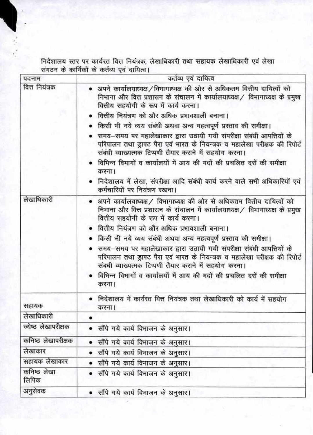निदेशालय स्तर पर कार्यरत वित्त नियंत्रक, लेखाधिकारी तथा सहायक लेखाधिकारी एवं लेखा<br>संगठन के कार्मिकों के कर्तव्य एवं दायित्व।

| पदनाम                | कर्तव्य एवं दायित्व                                                                                                                                                                                                                                                                                                                                           |  |  |
|----------------------|---------------------------------------------------------------------------------------------------------------------------------------------------------------------------------------------------------------------------------------------------------------------------------------------------------------------------------------------------------------|--|--|
| वित्त नियंत्रक       | • अपने कार्यालयाध्यक्ष / विभागाध्यक्ष की ओर से अधिकतम वित्तीय दायित्वों को<br>निभाना और वित्त प्रशासन के संचालन में कार्यालयाध्यक्ष / विभागाध्यक्ष के प्रमुख<br>वित्तीय सहयोगी के रूप में कार्य करना।                                                                                                                                                         |  |  |
|                      | वित्तीय नियंत्रण को और अधिक प्रभावशाली बनाना।                                                                                                                                                                                                                                                                                                                 |  |  |
|                      | किसी भी नये व्यय संबंधी अथवा अन्य महत्वपूर्ण प्रस्ताव की समीक्षा।                                                                                                                                                                                                                                                                                             |  |  |
|                      | • समय-समय पर महालेखाकार द्वारा उठायी गयी संपरीक्षा संबंधी आपत्तियों के<br>परिपालन तथा ड्राफ्ट पैरा एवं भारत के नियन्त्रक व महालेखा परीक्षक की रिपोर्ट<br>संबंधी व्याख्यत्मक टिप्पणी तैयार कराने में सहयोग करना।                                                                                                                                               |  |  |
|                      | • विभिन्न विभागों व कार्यालयों में आय की मदों की प्रचलित दरों की समीक्षा<br>करना।                                                                                                                                                                                                                                                                             |  |  |
|                      | • निदेशालय में लेखा, संपरीक्षा आदि संबंधी कार्य करने वाले सभी अधिकारियों एवं<br>कर्मचारियों पर नियंत्रण रखना।                                                                                                                                                                                                                                                 |  |  |
| लेखाधिकारी           | • अपने कार्यालयाध्यक्ष / विभागाध्यक्ष की ओर से अधिकतम वित्तीय दायित्वों को<br>निभाना और वित्त प्रशासन के संचालन में कार्यालयाध्यक्ष / विभागाध्यक्ष के प्रमुख<br>वित्तीय सहयोगी के रूप में कार्य करना।                                                                                                                                                         |  |  |
|                      | वित्तीय नियंत्रण को और अधिक प्रभावशाली बनाना।                                                                                                                                                                                                                                                                                                                 |  |  |
|                      | • किसी भी नये व्यय संबंधी अथवा अन्य महत्वपूर्ण प्रस्ताव की समीक्षा।<br>समय-समय पर महालेखाकार द्वारा उठायी गयी संपरीक्षा संबंधी आपत्तियों के<br>परिपालन तथा ड्राफ्ट पैरा एवं भारत के नियन्त्रक व महालेखा परीक्षक की रिपोर्ट<br>संबधी व्याख्यत्मक टिप्पणी तैयार कराने में सहयोग करना।<br>विभिन्न विभागों व कार्यालयों में आय की मदों की प्रचलित दरों की समीक्षा |  |  |
|                      | करना।                                                                                                                                                                                                                                                                                                                                                         |  |  |
| सहायक                | निदेशालय में कार्यरत वित्त नियंत्रक तथा लेखाधिकारी को कार्य में सहयोग<br>करना।                                                                                                                                                                                                                                                                                |  |  |
| लेखाधिकारी           |                                                                                                                                                                                                                                                                                                                                                               |  |  |
| ज्येष्ठ लेखापरीक्षक  | सौंपे गये कार्य विभाजन के अनुसार।                                                                                                                                                                                                                                                                                                                             |  |  |
| कनिष्ठ लेखापरीक्षक   | सौंपे गये कार्य विभाजन के अनुसार।                                                                                                                                                                                                                                                                                                                             |  |  |
| लेखाकार              | सौंपे गये कार्य विभाजन के अनुसार।                                                                                                                                                                                                                                                                                                                             |  |  |
| सहायक लेखाकार        | सौंपे गये कार्य विभाजन के अनुसार।                                                                                                                                                                                                                                                                                                                             |  |  |
| कनिष्ठ लेखा<br>लिपिक | सौंपे गये कार्य विभाजन के अनुसार।                                                                                                                                                                                                                                                                                                                             |  |  |
| अनुसेवक              | • सौंपे गये कार्य विभाजन के अनुसार।                                                                                                                                                                                                                                                                                                                           |  |  |